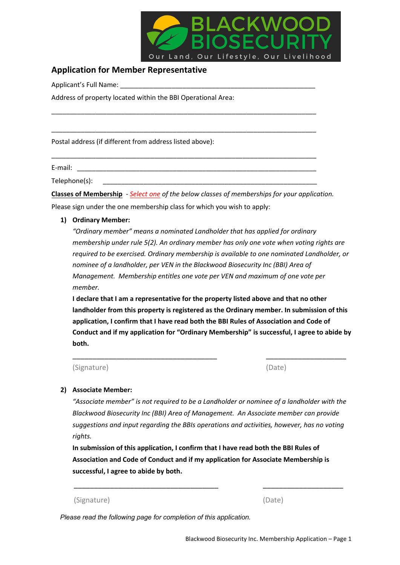

# **Application for Member Representative**

Applicant's Full Name:

Address of property located within the BBI Operational Area:

Postal address (if different from address listed above):

E-mail: \_\_\_\_\_\_\_\_\_\_\_\_\_\_\_\_\_\_\_\_\_\_\_\_\_\_\_\_\_\_\_\_\_\_\_\_\_\_\_\_\_\_\_\_\_\_\_\_\_\_\_\_\_\_\_\_\_\_\_\_\_\_\_\_\_

Telephone(s):

**Classes of Membership** - *Select one of the below classes of memberships for your application.* Please sign under the one membership class for which you wish to apply:

\_\_\_\_\_\_\_\_\_\_\_\_\_\_\_\_\_\_\_\_\_\_\_\_\_\_\_\_\_\_\_\_\_\_\_\_\_\_\_\_\_\_\_\_\_\_\_\_\_\_\_\_\_\_\_\_\_\_\_\_\_\_\_\_\_\_\_\_\_\_\_\_

\_\_\_\_\_\_\_\_\_\_\_\_\_\_\_\_\_\_\_\_\_\_\_\_\_\_\_\_\_\_\_\_\_\_\_\_\_\_\_\_\_\_\_\_\_\_\_\_\_\_\_\_\_\_\_\_\_\_\_\_\_\_\_\_\_\_\_\_\_\_\_\_

\_\_\_\_\_\_\_\_\_\_\_\_\_\_\_\_\_\_\_\_\_\_\_\_\_\_\_\_\_\_\_\_\_\_\_\_\_\_\_\_\_\_\_\_\_\_\_\_\_\_\_\_\_\_\_\_\_\_\_\_\_\_\_\_\_\_\_\_\_\_\_\_

## **1) Ordinary Member:**

*"Ordinary member" means a nominated Landholder that has applied for ordinary membership under rule 5(2). An ordinary member has only one vote when voting rights are required to be exercised. Ordinary membership is available to one nominated Landholder, or nominee of a landholder, per VEN in the Blackwood Biosecurity Inc (BBI) Area of Management. Membership entitles one vote per VEN and maximum of one vote per member.*

**I declare that I am a representative for the property listed above and that no other landholder from this property is registered as the Ordinary member. In submission of this application, I confirm that I have read both the BBI Rules of Association and Code of Conduct and if my application for "Ordinary Membership" is successful, I agree to abide by both.**

\_\_\_\_\_\_\_\_\_\_\_\_\_\_\_\_\_\_\_\_\_\_\_\_\_\_\_\_\_\_\_\_\_\_\_\_ \_\_\_\_\_\_\_\_\_\_\_\_\_\_\_\_\_\_\_\_

(Signature) (Date)

## **2) Associate Member:**

*"Associate member" is not required to be a Landholder or nominee of a landholder with the Blackwood Biosecurity Inc (BBI) Area of Management. An Associate member can provide suggestions and input regarding the BBIs operations and activities, however, has no voting rights.*

**In submission of this application, I confirm that I have read both the BBI Rules of Association and Code of Conduct and if my application for Associate Membership is successful, I agree to abide by both.**

(Signature)

(Date)

\_\_\_\_\_\_\_\_\_\_\_\_\_\_\_\_\_\_\_\_

*Please read the following page for completion of this application.*

\_\_\_\_\_\_\_\_\_\_\_\_\_\_\_\_\_\_\_\_\_\_\_\_\_\_\_\_\_\_\_\_\_\_\_\_